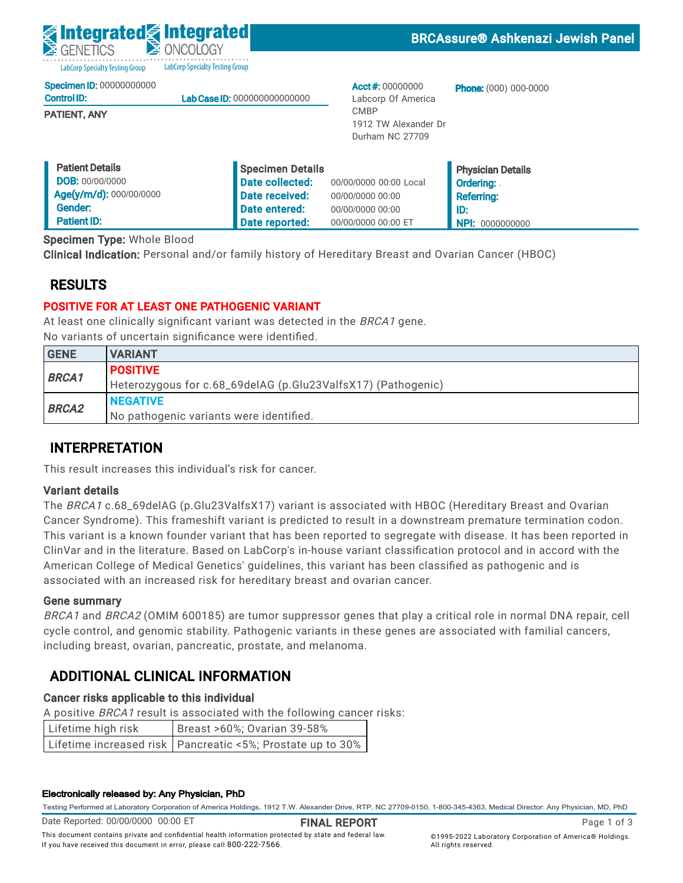LabCorp Specialty Testing Group LabCorp Specialty Testing Group

|  | <b>Specimen ID: 00000000000</b> |
|--|---------------------------------|
|  |                                 |

| <b>Control ID:</b> | Lab Case ID: 000000000000000 |
|--------------------|------------------------------|
|                    |                              |
|                    |                              |

PATIENT, ANY

Acct #: 00000000 Labcorp Of America CMBP 1912 TW Alexander Dr Durham NC 27709

Phone: (000) 000-0000

| <b>Patient Details</b>  | Specimen Details |                        | <b>Physician Details</b> |
|-------------------------|------------------|------------------------|--------------------------|
| <b>DOB: 00/00/0000</b>  | Date collected:  | 00/00/0000 00:00 Local | <b>Ordering:</b>         |
| Age(y/m/d): 000/00/0000 | Date received:   | 00/00/0000 00:00       | <b>Referring:</b>        |
| Gender:                 | Date entered:    | 00/00/0000 00:00       | l ID:                    |
| <b>Patient ID:</b>      | Date reported:   | 00/00/0000 00:00 ET    | <b>NPI: 0000000000</b>   |

Specimen Type: Whole Blood

Clinical Indication: Personal and/or family history of Hereditary Breast and Ovarian Cancer (HBOC)

# RESULTS

## POSITIVE FOR AT LEAST ONE PATHOGENIC VARIANT

At least one clinically significant variant was detected in the BRCA1 gene. No variants of uncertain significance were identified.

| <b>GENE</b>  | <b>VARIANT</b>                                               |
|--------------|--------------------------------------------------------------|
| <b>BRCA1</b> | <b>POSITIVE</b>                                              |
|              | Heterozygous for c.68_69delAG (p.Glu23ValfsX17) (Pathogenic) |
| <b>BRCA2</b> | <b>NEGATIVE</b>                                              |
|              | No pathogenic variants were identified.                      |

# INTERPRETATION

This result increases this individual's risk for cancer.

## Variant details

The BRCA1 c.68\_69delAG (p.Glu23ValfsX17) variant is associated with HBOC (Hereditary Breast and Ovarian Cancer Syndrome). This frameshift variant is predicted to result in a downstream premature termination codon. This variant is a known founder variant that has been reported to segregate with disease. It has been reported in ClinVar and in the literature. Based on LabCorp's in-house variant classification protocol and in accord with the American College of Medical Genetics' guidelines, this variant has been classified as pathogenic and is associated with an increased risk for hereditary breast and ovarian cancer.

## Gene summary

BRCA1 and BRCA2 (OMIM 600185) are tumor suppressor genes that play a critical role in normal DNA repair, cell cycle control, and genomic stability. Pathogenic variants in these genes are associated with familial cancers, including breast, ovarian, pancreatic, prostate, and melanoma.

# ADDITIONAL CLINICAL INFORMATION

## Cancer risks applicable to this individual

A positive BRCA1 result is associated with the following cancer risks:

| Lifetime high risk | Breast >60%; Ovarian 39-58%                                  |
|--------------------|--------------------------------------------------------------|
|                    | Lifetime increased risk   Pancreatic <5%; Prostate up to 30% |

### Electronically released by: Any Physician, PhD

Testing Performed at Laboratory Corporation of America Holdings, 1912 T.W. Alexander Drive, RTP, NC 27709-0150, 1-800-345-4363, Medical Director: Any Physician, MD, PhD

Date Reported: 00/00/0000 00:00 ET

FINAL REPORT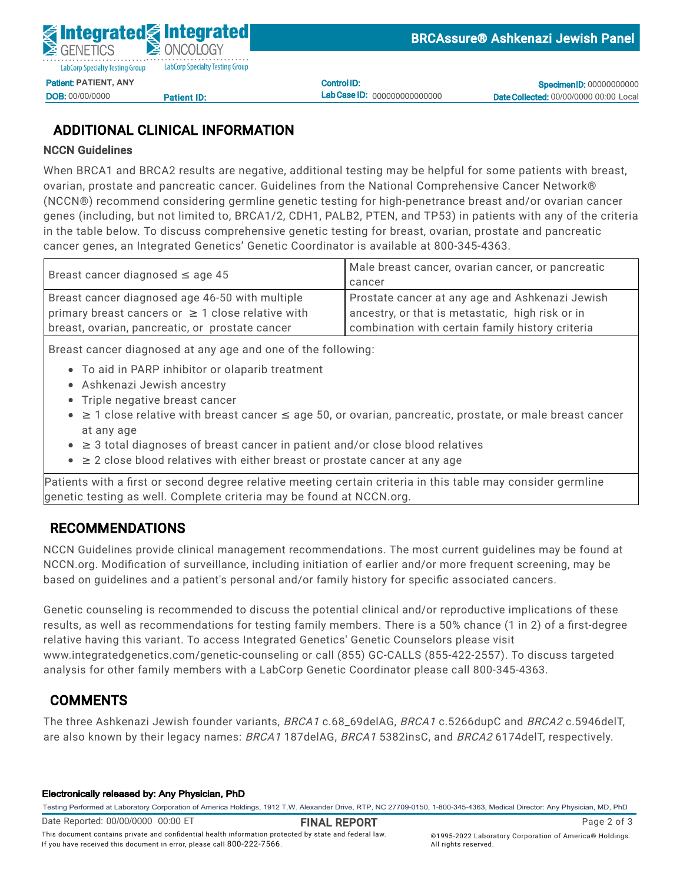

DOB: 00/00/0000

<u>Patient ID:</u>

Control ID: Lab Case ID: 000000000000000

**Specimen ID: 00000000000** Date Collected: 00/00/0000 00:00 Local

# ADDITIONAL CLINICAL INFORMATION

## NCCN Guidelines

When BRCA1 and BRCA2 results are negative, additional testing may be helpful for some patients with breast, ovarian, prostate and pancreatic cancer. Guidelines from the National Comprehensive Cancer Network® (NCCN®) recommend considering germline genetic testing for high-penetrance breast and/or ovarian cancer General Control Communications Patient International Date entered: 05/02/2022 11:46  $D \sim 2$ ,  $D \sim 11$ ,  $D \sim 2$ ,  $D \sim 2$ ID:<br>N:112 genes (including, but not limited to, BRCA1/2, CDH1, PALB2, PTEN, and TP53) in patients with any of the criteria<br>. Specimen Type: Whole Blood cancer genes, an Integrated Genetics' Genetic Coordinator is available at 800-345-4363. Clinical Indian Indian Indian and Or family history of Hereditary Breast and Ovarian Cancer (HBOC) and Ovarian in the table below. To discuss comprehensive genetic testing for breast, ovarian, prostate and pancreatic

| Breast cancer diagnosed $\leq$ age 45                  | Male breast cancer, ovarian cancer, or pancreatic |
|--------------------------------------------------------|---------------------------------------------------|
|                                                        | cancer                                            |
| Breast cancer diagnosed age 46-50 with multiple        | Prostate cancer at any age and Ashkenazi Jewish   |
| primary breast cancers or $\geq 1$ close relative with | ancestry, or that is metastatic, high risk or in  |
| breast, ovarian, pancreatic, or prostate cancer        | combination with certain family history criteria  |
|                                                        |                                                   |

Breast cancer diagnosed at any age and one of the following:

- To aid in PARP inhibitor or olaparib treatment
- **BRCA1 CONSTRUCTION** CONSTRUCT COMMUNISTIES CONSTRUCTED ASHKENAZI Jewish ancestry
	- Triple negative breast cancer
- $\bullet$  ≥ 1 close relative with breast cancer ≤ age 50, or ovarian, pancreatic, prostate, or male breast cancer at any age
- $\bullet$   $\geq$  3 total diagnoses of breast cancer in patient and/or close blood relatives
- This result increases this individual's risk for cancer. ■ ≥ 2 close blood relatives with either breast or prostate cancer at any age

variant det det<br>Sepation teoring genetic testing as well. Complete criteria may be found at NCCN.org. Patients with a first or second degree relative meeting certain criteria in this table may consider germline

### RECOMMENDATIONS THIS frame shift variant is predicted to result in a downstream premature termination codon. The comment is a known founder variant that has been reported to see gregate with discoveries with disease. It has been reported in the segregate with discoveries with discoveries with discoveries with discoveries with dis

NCCN Guidelines provide clinical management recommendations. The most current guidelines may be found at NCCN.org. Modification of surveillance, including initiation of earlier and/or more frequent screening, may be based on guidelines and a patient's personal and/or family history for specific associated cancers.

Gene summary Genetic counseling is recommended to discuss the potential clinical and/or reproductive implications of these  $\epsilon$ cycle control, and genomic stability. Pathogenic variants in these genes are associated with familial cancers, results, as well as recommendations for testing family members. There is a 50% chance (1 in 2) of a first-degree including breast, ovarian, pancreatic, prostate, and melanoma. relative having this variant. To access Integrated Genetics' Genetic Counselors please visit analysis for other family members with a LabCorp Genetic Coordinator please call 800-345-4363.<br>. www.integratedgenetics.com/genetic-counseling or call (855) GC-CALLS (855-422-2557). To discuss targeted

# COMMENTS **COMMENTS**

A positive BRCA1 result is associated with the following cancer risks: Lifetime high risk Breast >60%; Ovarian 39-58% The three Ashkenazi Jewish founder variants, BRCA1 c.68\_69delAG, BRCA1 c.5266dupC and BRCA2 c.5946delT, are also known by their legacy names: *BRCA1* 187delAG, *BRCA1* 5382insC, and *BRCA2* 6174delT, respectively.<br>

#### Electronically released by: Any Physician, PhD

.<br>This document contains private and confidential health information protected by state and federal law.

If you have received this document in error, please call 800-222-7566.

Testing Performed at Laboratory Corporation of America Holdings, 1912 T.W. Alexander Drive, RTP, NC 27709-0150, 1-800-345-4363, Medical Director: Any Physician, MD, PhD